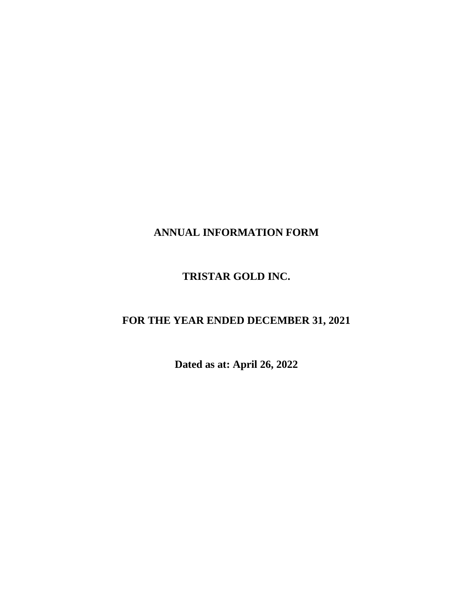# **ANNUAL INFORMATION FORM**

# **TRISTAR GOLD INC.**

# **FOR THE YEAR ENDED DECEMBER 31, 2021**

**Dated as at: April 26, 2022**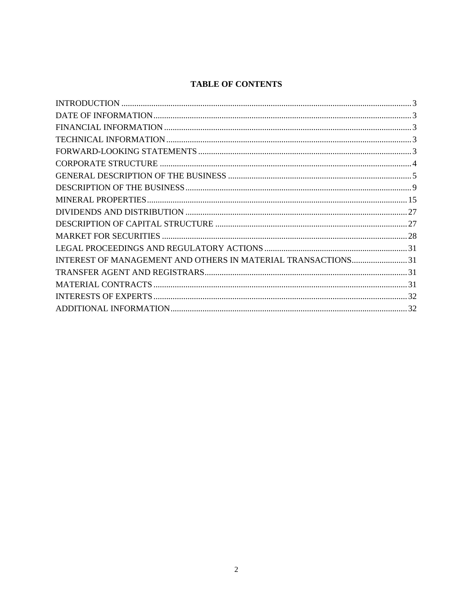# **TABLE OF CONTENTS**

| INTEREST OF MANAGEMENT AND OTHERS IN MATERIAL TRANSACTIONS 31 |  |
|---------------------------------------------------------------|--|
|                                                               |  |
|                                                               |  |
|                                                               |  |
|                                                               |  |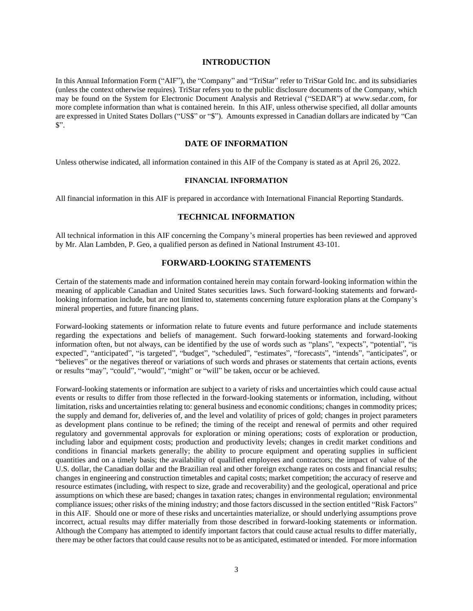#### **INTRODUCTION**

<span id="page-2-0"></span>In this Annual Information Form ("AIF"), the "Company" and "TriStar" refer to TriStar Gold Inc. and its subsidiaries (unless the context otherwise requires). TriStar refers you to the public disclosure documents of the Company, which may be found on the System for Electronic Document Analysis and Retrieval ("SEDAR") at www.sedar.com, for more complete information than what is contained herein. In this AIF, unless otherwise specified, all dollar amounts are expressed in United States Dollars ("US\$" or "\$"). Amounts expressed in Canadian dollars are indicated by "Can \$".

#### **DATE OF INFORMATION**

<span id="page-2-2"></span><span id="page-2-1"></span>Unless otherwise indicated, all information contained in this AIF of the Company is stated as at April 26, 2022.

## **FINANCIAL INFORMATION**

<span id="page-2-3"></span>All financial information in this AIF is prepared in accordance with International Financial Reporting Standards.

## **TECHNICAL INFORMATION**

<span id="page-2-4"></span>All technical information in this AIF concerning the Company's mineral properties has been reviewed and approved by Mr. Alan Lambden, P. Geo, a qualified person as defined in National Instrument 43-101.

# **FORWARD-LOOKING STATEMENTS**

Certain of the statements made and information contained herein may contain forward-looking information within the meaning of applicable Canadian and United States securities laws. Such forward-looking statements and forwardlooking information include, but are not limited to, statements concerning future exploration plans at the Company's mineral properties, and future financing plans.

Forward-looking statements or information relate to future events and future performance and include statements regarding the expectations and beliefs of management. Such forward-looking statements and forward-looking information often, but not always, can be identified by the use of words such as "plans", "expects", "potential", "is expected", "anticipated", "is targeted", "budget", "scheduled", "estimates", "forecasts", "intends", "anticipates", or "believes" or the negatives thereof or variations of such words and phrases or statements that certain actions, events or results "may", "could", "would", "might" or "will" be taken, occur or be achieved.

Forward-looking statements or information are subject to a variety of risks and uncertainties which could cause actual events or results to differ from those reflected in the forward-looking statements or information, including, without limitation, risks and uncertainties relating to: general business and economic conditions; changes in commodity prices; the supply and demand for, deliveries of, and the level and volatility of prices of gold; changes in project parameters as development plans continue to be refined; the timing of the receipt and renewal of permits and other required regulatory and governmental approvals for exploration or mining operations; costs of exploration or production, including labor and equipment costs; production and productivity levels; changes in credit market conditions and conditions in financial markets generally; the ability to procure equipment and operating supplies in sufficient quantities and on a timely basis; the availability of qualified employees and contractors; the impact of value of the U.S. dollar, the Canadian dollar and the Brazilian real and other foreign exchange rates on costs and financial results; changes in engineering and construction timetables and capital costs; market competition; the accuracy of reserve and resource estimates (including, with respect to size, grade and recoverability) and the geological, operational and price assumptions on which these are based; changes in taxation rates; changes in environmental regulation; environmental compliance issues; other risks of the mining industry; and those factors discussed in the section entitled "Risk Factors" in this AIF. Should one or more of these risks and uncertainties materialize, or should underlying assumptions prove incorrect, actual results may differ materially from those described in forward-looking statements or information. Although the Company has attempted to identify important factors that could cause actual results to differ materially, there may be other factors that could cause results not to be as anticipated, estimated or intended. For more information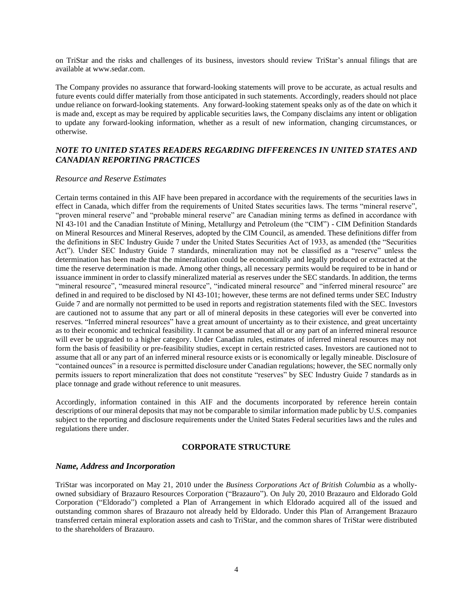on TriStar and the risks and challenges of its business, investors should review TriStar's annual filings that are available at www.sedar.com.

The Company provides no assurance that forward-looking statements will prove to be accurate, as actual results and future events could differ materially from those anticipated in such statements. Accordingly, readers should not place undue reliance on forward-looking statements. Any forward-looking statement speaks only as of the date on which it is made and, except as may be required by applicable securities laws, the Company disclaims any intent or obligation to update any forward-looking information, whether as a result of new information, changing circumstances, or otherwise.

# *NOTE TO UNITED STATES READERS REGARDING DIFFERENCES IN UNITED STATES AND CANADIAN REPORTING PRACTICES*

#### *Resource and Reserve Estimates*

Certain terms contained in this AIF have been prepared in accordance with the requirements of the securities laws in effect in Canada, which differ from the requirements of United States securities laws. The terms "mineral reserve", "proven mineral reserve" and "probable mineral reserve" are Canadian mining terms as defined in accordance with NI 43-101 and the Canadian Institute of Mining, Metallurgy and Petroleum (the "CIM") - CIM Definition Standards on Mineral Resources and Mineral Reserves, adopted by the CIM Council, as amended. These definitions differ from the definitions in SEC Industry Guide 7 under the United States Securities Act of 1933, as amended (the "Securities Act"). Under SEC Industry Guide 7 standards, mineralization may not be classified as a "reserve" unless the determination has been made that the mineralization could be economically and legally produced or extracted at the time the reserve determination is made. Among other things, all necessary permits would be required to be in hand or issuance imminent in order to classify mineralized material as reserves under the SEC standards. In addition, the terms "mineral resource", "measured mineral resource", "indicated mineral resource" and "inferred mineral resource" are defined in and required to be disclosed by NI 43-101; however, these terms are not defined terms under SEC Industry Guide 7 and are normally not permitted to be used in reports and registration statements filed with the SEC. Investors are cautioned not to assume that any part or all of mineral deposits in these categories will ever be converted into reserves. "Inferred mineral resources" have a great amount of uncertainty as to their existence, and great uncertainty as to their economic and technical feasibility. It cannot be assumed that all or any part of an inferred mineral resource will ever be upgraded to a higher category. Under Canadian rules, estimates of inferred mineral resources may not form the basis of feasibility or pre-feasibility studies, except in certain restricted cases. Investors are cautioned not to assume that all or any part of an inferred mineral resource exists or is economically or legally mineable. Disclosure of "contained ounces" in a resource is permitted disclosure under Canadian regulations; however, the SEC normally only permits issuers to report mineralization that does not constitute "reserves" by SEC Industry Guide 7 standards as in place tonnage and grade without reference to unit measures.

Accordingly, information contained in this AIF and the documents incorporated by reference herein contain descriptions of our mineral deposits that may not be comparable to similar information made public by U.S. companies subject to the reporting and disclosure requirements under the United States Federal securities laws and the rules and regulations there under.

## **CORPORATE STRUCTURE**

#### <span id="page-3-0"></span>*Name, Address and Incorporation*

TriStar was incorporated on May 21, 2010 under the *Business Corporations Act of British Columbia* as a whollyowned subsidiary of Brazauro Resources Corporation ("Brazauro"). On July 20, 2010 Brazauro and Eldorado Gold Corporation ("Eldorado") completed a Plan of Arrangement in which Eldorado acquired all of the issued and outstanding common shares of Brazauro not already held by Eldorado. Under this Plan of Arrangement Brazauro transferred certain mineral exploration assets and cash to TriStar, and the common shares of TriStar were distributed to the shareholders of Brazauro.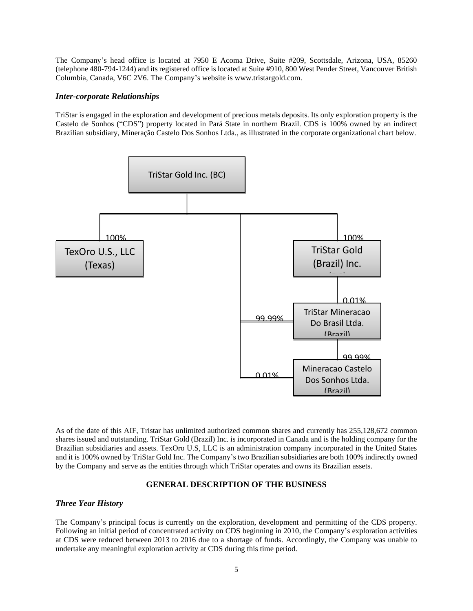The Company's head office is located at 7950 E Acoma Drive, Suite #209, Scottsdale, Arizona, USA, 85260 (telephone 480-794-1244) and its registered office is located at Suite #910, 800 West Pender Street, Vancouver British Columbia, Canada, V6C 2V6. The Company's website is www.tristargold.com.

#### *Inter-corporate Relationships*

TriStar is engaged in the exploration and development of precious metals deposits. Its only exploration property is the Castelo de Sonhos ("CDS") property located in Pará State in northern Brazil. CDS is 100% owned by an indirect Brazilian subsidiary, Mineração Castelo Dos Sonhos Ltda., as illustrated in the corporate organizational chart below.



As of the date of this AIF, Tristar has unlimited authorized common shares and currently has 255,128,672 common shares issued and outstanding. TriStar Gold (Brazil) Inc. is incorporated in Canada and is the holding company for the Brazilian subsidiaries and assets. TexOro U.S, LLC is an administration company incorporated in the United States and it is 100% owned by TriStar Gold Inc. The Company's two Brazilian subsidiaries are both 100% indirectly owned by the Company and serve as the entities through which TriStar operates and owns its Brazilian assets.

#### <span id="page-4-0"></span>**GENERAL DESCRIPTION OF THE BUSINESS**

#### *Three Year History*

The Company's principal focus is currently on the exploration, development and permitting of the CDS property. Following an initial period of concentrated activity on CDS beginning in 2010, the Company's exploration activities at CDS were reduced between 2013 to 2016 due to a shortage of funds. Accordingly, the Company was unable to undertake any meaningful exploration activity at CDS during this time period.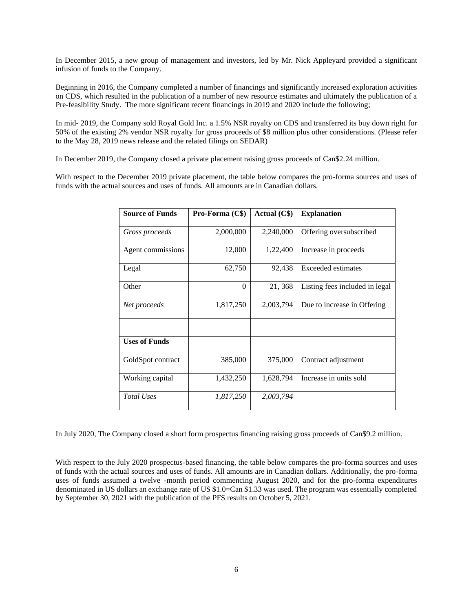In December 2015, a new group of management and investors, led by Mr. Nick Appleyard provided a significant infusion of funds to the Company.

Beginning in 2016, the Company completed a number of financings and significantly increased exploration activities on CDS, which resulted in the publication of a number of new resource estimates and ultimately the publication of a Pre-feasibility Study. The more significant recent financings in 2019 and 2020 include the following;

In mid- 2019, the Company sold Royal Gold Inc. a 1.5% NSR royalty on CDS and transferred its buy down right for 50% of the existing 2% vendor NSR royalty for gross proceeds of \$8 million plus other considerations. (Please refer to the May 28, 2019 news release and the related filings on SEDAR)

In December 2019, the Company closed a private placement raising gross proceeds of Can\$2.24 million.

With respect to the December 2019 private placement, the table below compares the pro-forma sources and uses of funds with the actual sources and uses of funds. All amounts are in Canadian dollars.

| <b>Source of Funds</b> | Pro-Forma (C\$) | Actual (C\$) | <b>Explanation</b>             |
|------------------------|-----------------|--------------|--------------------------------|
| Gross proceeds         | 2,000,000       | 2,240,000    | Offering oversubscribed        |
| Agent commissions      | 12,000          | 1,22,400     | Increase in proceeds           |
| Legal                  | 62,750          | 92,438       | Exceeded estimates             |
| Other                  | $\theta$        | 21,368       | Listing fees included in legal |
| Net proceeds           | 1,817,250       | 2,003,794    | Due to increase in Offering    |
|                        |                 |              |                                |
| <b>Uses of Funds</b>   |                 |              |                                |
| GoldSpot contract      | 385,000         | 375,000      | Contract adjustment            |
| Working capital        | 1,432,250       | 1,628,794    | Increase in units sold         |
| <b>Total Uses</b>      | 1,817,250       | 2,003,794    |                                |

In July 2020, The Company closed a short form prospectus financing raising gross proceeds of Can\$9.2 million.

With respect to the July 2020 prospectus-based financing, the table below compares the pro-forma sources and uses of funds with the actual sources and uses of funds. All amounts are in Canadian dollars. Additionally, the pro-forma uses of funds assumed a twelve -month period commencing August 2020, and for the pro-forma expenditures denominated in US dollars an exchange rate of US \$1.0=Can \$1.33 was used. The program was essentially completed by September 30, 2021 with the publication of the PFS results on October 5, 2021.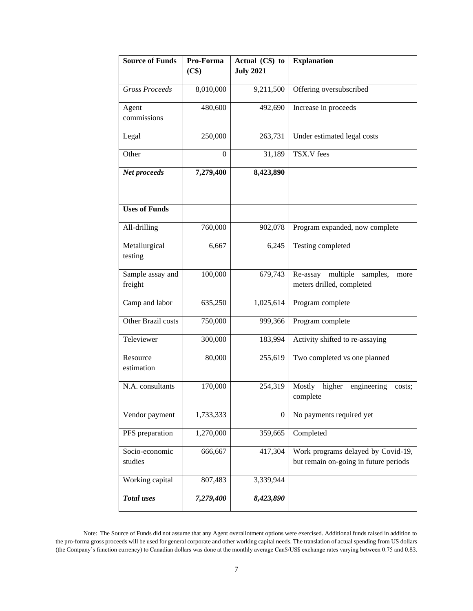| <b>Source of Funds</b>      | Pro-Forma | Actual $(C\$ ) to | <b>Explanation</b>                                                          |
|-----------------------------|-----------|-------------------|-----------------------------------------------------------------------------|
|                             | (C\$)     | <b>July 2021</b>  |                                                                             |
| <b>Gross Proceeds</b>       | 8,010,000 | 9,211,500         | Offering oversubscribed                                                     |
| Agent                       | 480,600   | 492,690           | Increase in proceeds                                                        |
| commissions                 |           |                   |                                                                             |
| Legal                       | 250,000   | 263,731           | Under estimated legal costs                                                 |
| Other                       | $\theta$  | 31,189            | TSX.V fees                                                                  |
| Net proceeds                | 7,279,400 | 8,423,890         |                                                                             |
|                             |           |                   |                                                                             |
| <b>Uses of Funds</b>        |           |                   |                                                                             |
| All-drilling                | 760,000   | 902,078           | Program expanded, now complete                                              |
| Metallurgical<br>testing    | 6,667     | 6,245             | Testing completed                                                           |
| Sample assay and<br>freight | 100,000   | 679,743           | multiple<br>Re-assay<br>samples,<br>more<br>meters drilled, completed       |
| Camp and labor              | 635,250   | 1,025,614         | Program complete                                                            |
| Other Brazil costs          | 750,000   | 999,366           | Program complete                                                            |
| Televiewer                  | 300,000   | 183,994           | Activity shifted to re-assaying                                             |
| Resource<br>estimation      | 80,000    | 255,619           | Two completed vs one planned                                                |
| N.A. consultants            | 170,000   | 254,319           | Mostly<br>higher<br>engineering<br>costs;<br>complete                       |
| Vendor payment              | 1,733,333 | $\mathbf{0}$      | No payments required yet                                                    |
| PFS preparation             | 1,270,000 | 359,665           | Completed                                                                   |
| Socio-economic<br>studies   | 666,667   | 417,304           | Work programs delayed by Covid-19,<br>but remain on-going in future periods |
| Working capital             | 807,483   | 3,339,944         |                                                                             |
| Total uses                  | 7,279,400 | 8,423,890         |                                                                             |

Note: The Source of Funds did not assume that any Agent overallotment options were exercised. Additional funds raised in addition to the pro-forma gross proceeds will be used for general corporate and other working capital needs. The translation of actual spending from US dollars (the Company's function currency) to Canadian dollars was done at the monthly average Can\$/US\$ exchange rates varying between 0.75 and 0.83.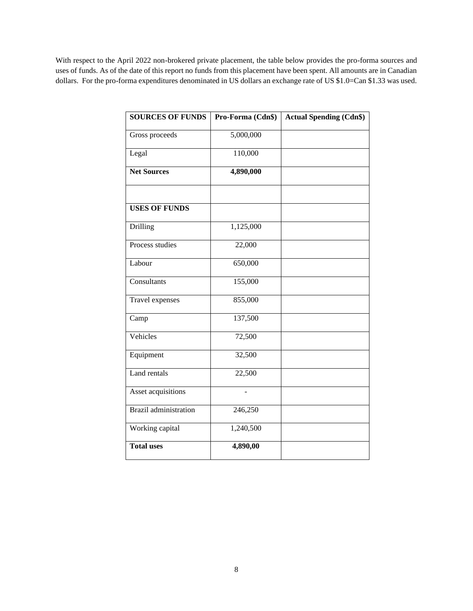With respect to the April 2022 non-brokered private placement, the table below provides the pro-forma sources and uses of funds. As of the date of this report no funds from this placement have been spent. All amounts are in Canadian dollars. For the pro-forma expenditures denominated in US dollars an exchange rate of US \$1.0=Can \$1.33 was used.

<span id="page-7-0"></span>

| <b>SOURCES OF FUNDS</b>      | Pro-Forma (Cdn\$) | <b>Actual Spending (Cdn\$)</b> |
|------------------------------|-------------------|--------------------------------|
| Gross proceeds               | 5,000,000         |                                |
| Legal                        | 110,000           |                                |
| <b>Net Sources</b>           | 4,890,000         |                                |
| <b>USES OF FUNDS</b>         |                   |                                |
| Drilling                     | 1,125,000         |                                |
| Process studies              | 22,000            |                                |
| Labour                       | 650,000           |                                |
| Consultants                  | 155,000           |                                |
| Travel expenses              | 855,000           |                                |
| Camp                         | 137,500           |                                |
| Vehicles                     | 72,500            |                                |
| Equipment                    | 32,500            |                                |
| Land rentals                 | 22,500            |                                |
| Asset acquisitions           | ÷,                |                                |
| <b>Brazil</b> administration | 246,250           |                                |
| Working capital              | 1,240,500         |                                |
| <b>Total uses</b>            | 4,890,00          |                                |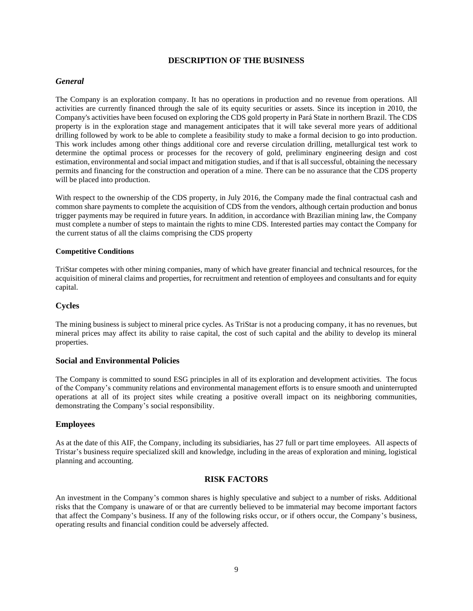## **DESCRIPTION OF THE BUSINESS**

# *General*

The Company is an exploration company. It has no operations in production and no revenue from operations. All activities are currently financed through the sale of its equity securities or assets. Since its inception in 2010, the Company's activities have been focused on exploring the CDS gold property in Pará State in northern Brazil. The CDS property is in the exploration stage and management anticipates that it will take several more years of additional drilling followed by work to be able to complete a feasibility study to make a formal decision to go into production. This work includes among other things additional core and reverse circulation drilling, metallurgical test work to determine the optimal process or processes for the recovery of gold, preliminary engineering design and cost estimation, environmental and social impact and mitigation studies, and if that is all successful, obtaining the necessary permits and financing for the construction and operation of a mine. There can be no assurance that the CDS property will be placed into production.

With respect to the ownership of the CDS property, in July 2016, the Company made the final contractual cash and common share payments to complete the acquisition of CDS from the vendors, although certain production and bonus trigger payments may be required in future years. In addition, in accordance with Brazilian mining law, the Company must complete a number of steps to maintain the rights to mine CDS. Interested parties may contact the Company for the current status of all the claims comprising the CDS property

#### **Competitive Conditions**

TriStar competes with other mining companies, many of which have greater financial and technical resources, for the acquisition of mineral claims and properties, for recruitment and retention of employees and consultants and for equity capital.

# **Cycles**

The mining business is subject to mineral price cycles. As TriStar is not a producing company, it has no revenues, but mineral prices may affect its ability to raise capital, the cost of such capital and the ability to develop its mineral properties.

# **Social and Environmental Policies**

The Company is committed to sound ESG principles in all of its exploration and development activities. The focus of the Company's community relations and environmental management efforts is to ensure smooth and uninterrupted operations at all of its project sites while creating a positive overall impact on its neighboring communities, demonstrating the Company's social responsibility.

# **Employees**

As at the date of this AIF, the Company, including its subsidiaries, has 27 full or part time employees. All aspects of Tristar's business require specialized skill and knowledge, including in the areas of exploration and mining, logistical planning and accounting.

# **RISK FACTORS**

An investment in the Company's common shares is highly speculative and subject to a number of risks. Additional risks that the Company is unaware of or that are currently believed to be immaterial may become important factors that affect the Company's business. If any of the following risks occur, or if others occur, the Company's business, operating results and financial condition could be adversely affected.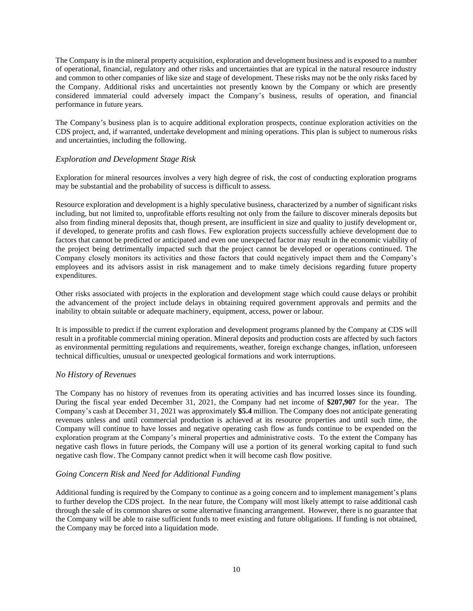The Company is in the mineral property acquisition, exploration and development business and is exposed to a number of operational, financial, regulatory and other risks and uncertainties that are typical in the natural resource industry and common to other companies of like size and stage of development. These risks may not be the only risks faced by the Company. Additional risks and uncertainties not presently known by the Company or which are presently considered immaterial could adversely impact the Company's business, results of operation, and financial performance in future years.

The Company's business plan is to acquire additional exploration prospects, continue exploration activities on the CDS project, and, if warranted, undertake development and mining operations. This plan is subject to numerous risks and uncertainties, including the following.

# *Exploration and Development Stage Risk*

Exploration for mineral resources involves a very high degree of risk, the cost of conducting exploration programs may be substantial and the probability of success is difficult to assess.

Resource exploration and development is a highly speculative business, characterized by a number of significant risks including, but not limited to, unprofitable efforts resulting not only from the failure to discover minerals deposits but also from finding mineral deposits that, though present, are insufficient in size and quality to justify development or, if developed, to generate profits and cash flows. Few exploration projects successfully achieve development due to factors that cannot be predicted or anticipated and even one unexpected factor may result in the economic viability of the project being detrimentally impacted such that the project cannot be developed or operations continued. The Company closely monitors its activities and those factors that could negatively impact them and the Company's employees and its advisors assist in risk management and to make timely decisions regarding future property expenditures.

Other risks associated with projects in the exploration and development stage which could cause delays or prohibit the advancement of the project include delays in obtaining required government approvals and permits and the inability to obtain suitable or adequate machinery, equipment, access, power or labour.

It is impossible to predict if the current exploration and development programs planned by the Company at CDS will result in a profitable commercial mining operation. Mineral deposits and production costs are affected by such factors as environmental permitting regulations and requirements, weather, foreign exchange changes, inflation, unforeseen technical difficulties, unusual or unexpected geological formations and work interruptions.

# *No History of Revenues*

The Company has no history of revenues from its operating activities and has incurred losses since its founding. During the fiscal year ended December 31, 2021, the Company had net income of **\$207,907** for the year. The Company's cash at December 31, 2021 was approximately **\$5.4** million. The Company does not anticipate generating revenues unless and until commercial production is achieved at its resource properties and until such time, the Company will continue to have losses and negative operating cash flow as funds continue to be expended on the exploration program at the Company's mineral properties and administrative costs. To the extent the Company has negative cash flows in future periods, the Company will use a portion of its general working capital to fund such negative cash flow. The Company cannot predict when it will become cash flow positive.

# *Going Concern Risk and Need for Additional Funding*

Additional funding is required by the Company to continue as a going concern and to implement management's plans to further develop the CDS project. In the near future, the Company will most likely attempt to raise additional cash through the sale of its common shares or some alternative financing arrangement. However, there is no guarantee that the Company will be able to raise sufficient funds to meet existing and future obligations. If funding is not obtained, the Company may be forced into a liquidation mode.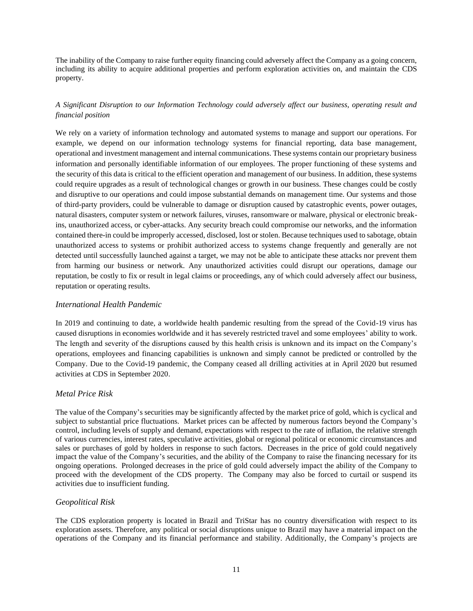The inability of the Company to raise further equity financing could adversely affect the Company as a going concern, including its ability to acquire additional properties and perform exploration activities on, and maintain the CDS property.

# *A Significant Disruption to our Information Technology could adversely affect our business, operating result and financial position*

We rely on a variety of information technology and automated systems to manage and support our operations. For example, we depend on our information technology systems for financial reporting, data base management, operational and investment management and internal communications. These systems contain our proprietary business information and personally identifiable information of our employees. The proper functioning of these systems and the security of this data is critical to the efficient operation and management of our business. In addition, these systems could require upgrades as a result of technological changes or growth in our business. These changes could be costly and disruptive to our operations and could impose substantial demands on management time. Our systems and those of third-party providers, could be vulnerable to damage or disruption caused by catastrophic events, power outages, natural disasters, computer system or network failures, viruses, ransomware or malware, physical or electronic breakins, unauthorized access, or cyber-attacks. Any security breach could compromise our networks, and the information contained there-in could be improperly accessed, disclosed, lost or stolen. Because techniques used to sabotage, obtain unauthorized access to systems or prohibit authorized access to systems change frequently and generally are not detected until successfully launched against a target, we may not be able to anticipate these attacks nor prevent them from harming our business or network. Any unauthorized activities could disrupt our operations, damage our reputation, be costly to fix or result in legal claims or proceedings, any of which could adversely affect our business, reputation or operating results.

## *International Health Pandemic*

In 2019 and continuing to date, a worldwide health pandemic resulting from the spread of the Covid-19 virus has caused disruptions in economies worldwide and it has severely restricted travel and some employees' ability to work. The length and severity of the disruptions caused by this health crisis is unknown and its impact on the Company's operations, employees and financing capabilities is unknown and simply cannot be predicted or controlled by the Company. Due to the Covid-19 pandemic, the Company ceased all drilling activities at in April 2020 but resumed activities at CDS in September 2020.

# *Metal Price Risk*

The value of the Company's securities may be significantly affected by the market price of gold, which is cyclical and subject to substantial price fluctuations. Market prices can be affected by numerous factors beyond the Company's control, including levels of supply and demand, expectations with respect to the rate of inflation, the relative strength of various currencies, interest rates, speculative activities, global or regional political or economic circumstances and sales or purchases of gold by holders in response to such factors. Decreases in the price of gold could negatively impact the value of the Company's securities, and the ability of the Company to raise the financing necessary for its ongoing operations. Prolonged decreases in the price of gold could adversely impact the ability of the Company to proceed with the development of the CDS property. The Company may also be forced to curtail or suspend its activities due to insufficient funding.

# *Geopolitical Risk*

The CDS exploration property is located in Brazil and TriStar has no country diversification with respect to its exploration assets. Therefore, any political or social disruptions unique to Brazil may have a material impact on the operations of the Company and its financial performance and stability. Additionally, the Company's projects are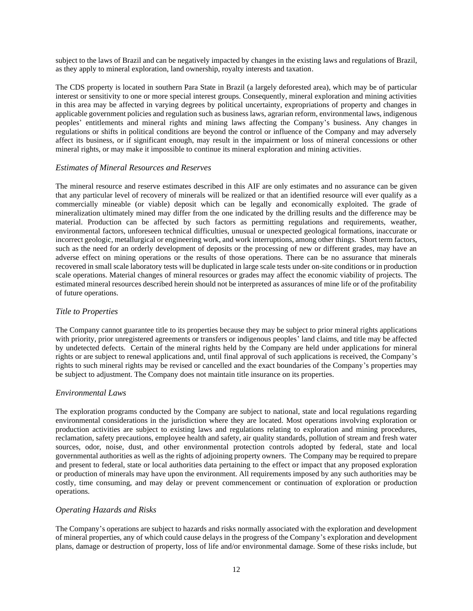subject to the laws of Brazil and can be negatively impacted by changes in the existing laws and regulations of Brazil, as they apply to mineral exploration, land ownership, royalty interests and taxation.

The CDS property is located in southern Para State in Brazil (a largely deforested area), which may be of particular interest or sensitivity to one or more special interest groups. Consequently, mineral exploration and mining activities in this area may be affected in varying degrees by political uncertainty, expropriations of property and changes in applicable government policies and regulation such as business laws, agrarian reform, environmental laws, indigenous peoples' entitlements and mineral rights and mining laws affecting the Company's business. Any changes in regulations or shifts in political conditions are beyond the control or influence of the Company and may adversely affect its business, or if significant enough, may result in the impairment or loss of mineral concessions or other mineral rights, or may make it impossible to continue its mineral exploration and mining activities.

# *Estimates of Mineral Resources and Reserves*

The mineral resource and reserve estimates described in this AIF are only estimates and no assurance can be given that any particular level of recovery of minerals will be realized or that an identified resource will ever qualify as a commercially mineable (or viable) deposit which can be legally and economically exploited. The grade of mineralization ultimately mined may differ from the one indicated by the drilling results and the difference may be material. Production can be affected by such factors as permitting regulations and requirements, weather, environmental factors, unforeseen technical difficulties, unusual or unexpected geological formations, inaccurate or incorrect geologic, metallurgical or engineering work, and work interruptions, among other things. Short term factors, such as the need for an orderly development of deposits or the processing of new or different grades, may have an adverse effect on mining operations or the results of those operations. There can be no assurance that minerals recovered in small scale laboratory tests will be duplicated in large scale tests under on-site conditions or in production scale operations. Material changes of mineral resources or grades may affect the economic viability of projects. The estimated mineral resources described herein should not be interpreted as assurances of mine life or of the profitability of future operations.

# *Title to Properties*

The Company cannot guarantee title to its properties because they may be subject to prior mineral rights applications with priority, prior unregistered agreements or transfers or indigenous peoples' land claims, and title may be affected by undetected defects. Certain of the mineral rights held by the Company are held under applications for mineral rights or are subject to renewal applications and, until final approval of such applications is received, the Company's rights to such mineral rights may be revised or cancelled and the exact boundaries of the Company's properties may be subject to adjustment. The Company does not maintain title insurance on its properties.

# *Environmental Laws*

The exploration programs conducted by the Company are subject to national, state and local regulations regarding environmental considerations in the jurisdiction where they are located. Most operations involving exploration or production activities are subject to existing laws and regulations relating to exploration and mining procedures, reclamation, safety precautions, employee health and safety, air quality standards, pollution of stream and fresh water sources, odor, noise, dust, and other environmental protection controls adopted by federal, state and local governmental authorities as well as the rights of adjoining property owners. The Company may be required to prepare and present to federal, state or local authorities data pertaining to the effect or impact that any proposed exploration or production of minerals may have upon the environment. All requirements imposed by any such authorities may be costly, time consuming, and may delay or prevent commencement or continuation of exploration or production operations.

# *Operating Hazards and Risks*

The Company's operations are subject to hazards and risks normally associated with the exploration and development of mineral properties, any of which could cause delays in the progress of the Company's exploration and development plans, damage or destruction of property, loss of life and/or environmental damage. Some of these risks include, but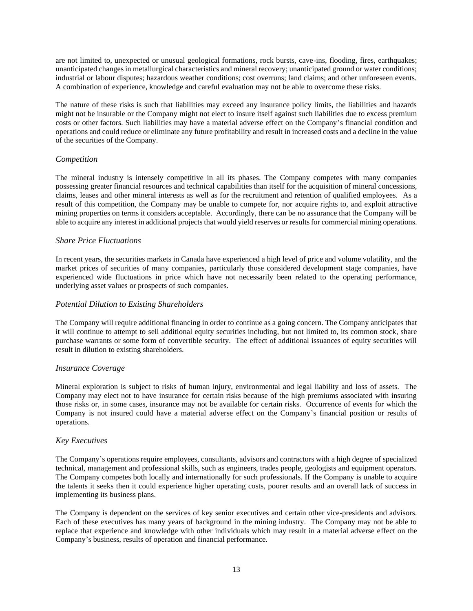are not limited to, unexpected or unusual geological formations, rock bursts, cave-ins, flooding, fires, earthquakes; unanticipated changes in metallurgical characteristics and mineral recovery; unanticipated ground or water conditions; industrial or labour disputes; hazardous weather conditions; cost overruns; land claims; and other unforeseen events. A combination of experience, knowledge and careful evaluation may not be able to overcome these risks.

The nature of these risks is such that liabilities may exceed any insurance policy limits, the liabilities and hazards might not be insurable or the Company might not elect to insure itself against such liabilities due to excess premium costs or other factors. Such liabilities may have a material adverse effect on the Company's financial condition and operations and could reduce or eliminate any future profitability and result in increased costs and a decline in the value of the securities of the Company.

# *Competition*

The mineral industry is intensely competitive in all its phases. The Company competes with many companies possessing greater financial resources and technical capabilities than itself for the acquisition of mineral concessions, claims, leases and other mineral interests as well as for the recruitment and retention of qualified employees. As a result of this competition, the Company may be unable to compete for, nor acquire rights to, and exploit attractive mining properties on terms it considers acceptable. Accordingly, there can be no assurance that the Company will be able to acquire any interest in additional projects that would yield reserves or results for commercial mining operations.

# *Share Price Fluctuations*

In recent years, the securities markets in Canada have experienced a high level of price and volume volatility, and the market prices of securities of many companies, particularly those considered development stage companies, have experienced wide fluctuations in price which have not necessarily been related to the operating performance, underlying asset values or prospects of such companies.

# *Potential Dilution to Existing Shareholders*

The Company will require additional financing in order to continue as a going concern. The Company anticipates that it will continue to attempt to sell additional equity securities including, but not limited to, its common stock, share purchase warrants or some form of convertible security. The effect of additional issuances of equity securities will result in dilution to existing shareholders.

# *Insurance Coverage*

Mineral exploration is subject to risks of human injury, environmental and legal liability and loss of assets. The Company may elect not to have insurance for certain risks because of the high premiums associated with insuring those risks or, in some cases, insurance may not be available for certain risks. Occurrence of events for which the Company is not insured could have a material adverse effect on the Company's financial position or results of operations.

# *Key Executives*

The Company's operations require employees, consultants, advisors and contractors with a high degree of specialized technical, management and professional skills, such as engineers, trades people, geologists and equipment operators. The Company competes both locally and internationally for such professionals. If the Company is unable to acquire the talents it seeks then it could experience higher operating costs, poorer results and an overall lack of success in implementing its business plans.

The Company is dependent on the services of key senior executives and certain other vice-presidents and advisors. Each of these executives has many years of background in the mining industry. The Company may not be able to replace that experience and knowledge with other individuals which may result in a material adverse effect on the Company's business, results of operation and financial performance.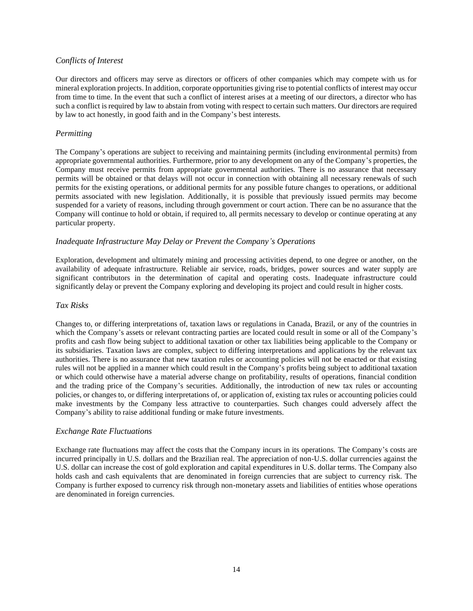# *Conflicts of Interest*

Our directors and officers may serve as directors or officers of other companies which may compete with us for mineral exploration projects. In addition, corporate opportunities giving rise to potential conflicts of interest may occur from time to time. In the event that such a conflict of interest arises at a meeting of our directors, a director who has such a conflict is required by law to abstain from voting with respect to certain such matters. Our directors are required by law to act honestly, in good faith and in the Company's best interests.

# *Permitting*

The Company's operations are subject to receiving and maintaining permits (including environmental permits) from appropriate governmental authorities. Furthermore, prior to any development on any of the Company's properties, the Company must receive permits from appropriate governmental authorities. There is no assurance that necessary permits will be obtained or that delays will not occur in connection with obtaining all necessary renewals of such permits for the existing operations, or additional permits for any possible future changes to operations, or additional permits associated with new legislation. Additionally, it is possible that previously issued permits may become suspended for a variety of reasons, including through government or court action. There can be no assurance that the Company will continue to hold or obtain, if required to, all permits necessary to develop or continue operating at any particular property.

# *Inadequate Infrastructure May Delay or Prevent the Company's Operations*

Exploration, development and ultimately mining and processing activities depend, to one degree or another, on the availability of adequate infrastructure. Reliable air service, roads, bridges, power sources and water supply are significant contributors in the determination of capital and operating costs. Inadequate infrastructure could significantly delay or prevent the Company exploring and developing its project and could result in higher costs.

## *Tax Risks*

Changes to, or differing interpretations of, taxation laws or regulations in Canada, Brazil, or any of the countries in which the Company's assets or relevant contracting parties are located could result in some or all of the Company's profits and cash flow being subject to additional taxation or other tax liabilities being applicable to the Company or its subsidiaries. Taxation laws are complex, subject to differing interpretations and applications by the relevant tax authorities. There is no assurance that new taxation rules or accounting policies will not be enacted or that existing rules will not be applied in a manner which could result in the Company's profits being subject to additional taxation or which could otherwise have a material adverse change on profitability, results of operations, financial condition and the trading price of the Company's securities. Additionally, the introduction of new tax rules or accounting policies, or changes to, or differing interpretations of, or application of, existing tax rules or accounting policies could make investments by the Company less attractive to counterparties. Such changes could adversely affect the Company's ability to raise additional funding or make future investments.

# *Exchange Rate Fluctuations*

Exchange rate fluctuations may affect the costs that the Company incurs in its operations. The Company's costs are incurred principally in U.S. dollars and the Brazilian real. The appreciation of non-U.S. dollar currencies against the U.S. dollar can increase the cost of gold exploration and capital expenditures in U.S. dollar terms. The Company also holds cash and cash equivalents that are denominated in foreign currencies that are subject to currency risk. The Company is further exposed to currency risk through non-monetary assets and liabilities of entities whose operations are denominated in foreign currencies.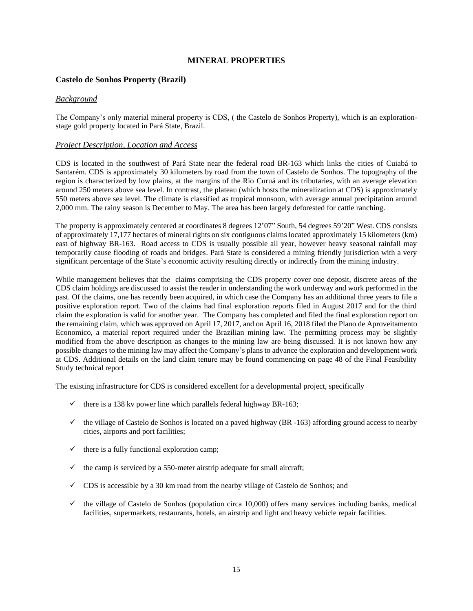# **MINERAL PROPERTIES**

# <span id="page-14-0"></span>**Castelo de Sonhos Property (Brazil)**

#### *Background*

The Company's only material mineral property is CDS, ( the Castelo de Sonhos Property), which is an explorationstage gold property located in Pará State, Brazil.

#### *Project Description, Location and Access*

CDS is located in the southwest of Pará State near the federal road BR-163 which links the cities of Cuiabá to Santarém. CDS is approximately 30 kilometers by road from the town of Castelo de Sonhos. The topography of the region is characterized by low plains, at the margins of the Rio Curuá and its tributaries, with an average elevation around 250 meters above sea level. In contrast, the plateau (which hosts the mineralization at CDS) is approximately 550 meters above sea level. The climate is classified as tropical monsoon, with average annual precipitation around 2,000 mm. The rainy season is December to May. The area has been largely deforested for cattle ranching.

The property is approximately centered at coordinates 8 degrees 12'07" South, 54 degrees 59'20" West. CDS consists of approximately 17,177 hectares of mineral rights on six contiguous claims located approximately 15 kilometers (km) east of highway BR-163. Road access to CDS is usually possible all year, however heavy seasonal rainfall may temporarily cause flooding of roads and bridges. Pará State is considered a mining friendly jurisdiction with a very significant percentage of the State's economic activity resulting directly or indirectly from the mining industry.

While management believes that the claims comprising the CDS property cover one deposit, discrete areas of the CDS claim holdings are discussed to assist the reader in understanding the work underway and work performed in the past. Of the claims, one has recently been acquired, in which case the Company has an additional three years to file a positive exploration report. Two of the claims had final exploration reports filed in August 2017 and for the third claim the exploration is valid for another year. The Company has completed and filed the final exploration report on the remaining claim, which was approved on April 17, 2017, and on April 16, 2018 filed the Plano de Aproveitamento Economico, a material report required under the Brazilian mining law. The permitting process may be slightly modified from the above description as changes to the mining law are being discussed. It is not known how any possible changes to the mining law may affect the Company's plans to advance the exploration and development work at CDS. Additional details on the land claim tenure may be found commencing on page 48 of the Final Feasibility Study technical report

The existing infrastructure for CDS is considered excellent for a developmental project, specifically

- $\checkmark$  there is a 138 kv power line which parallels federal highway BR-163;
- $\checkmark$  the village of Castelo de Sonhos is located on a paved highway (BR -163) affording ground access to nearby cities, airports and port facilities;
- $\checkmark$  there is a fully functional exploration camp;
- $\checkmark$  the camp is serviced by a 550-meter airstrip adequate for small aircraft;
- $\checkmark$  CDS is accessible by a 30 km road from the nearby village of Castelo de Sonhos; and
- $\checkmark$  the village of Castelo de Sonhos (population circa 10,000) offers many services including banks, medical facilities, supermarkets, restaurants, hotels, an airstrip and light and heavy vehicle repair facilities.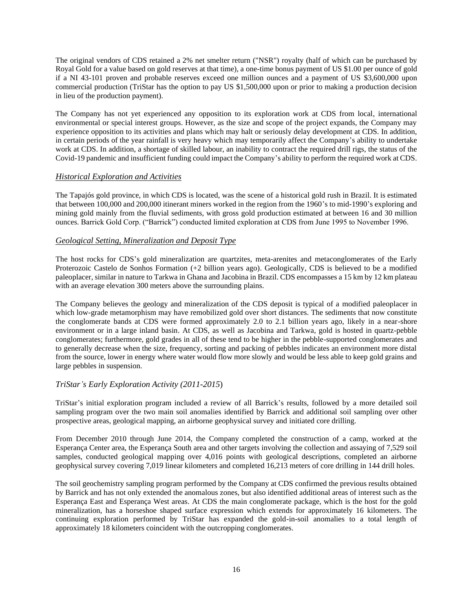The original vendors of CDS retained a 2% net smelter return ("NSR") royalty (half of which can be purchased by Royal Gold for a value based on gold reserves at that time), a one-time bonus payment of US \$1.00 per ounce of gold if a NI 43-101 proven and probable reserves exceed one million ounces and a payment of US \$3,600,000 upon commercial production (TriStar has the option to pay US \$1,500,000 upon or prior to making a production decision in lieu of the production payment).

The Company has not yet experienced any opposition to its exploration work at CDS from local, international environmental or special interest groups. However, as the size and scope of the project expands, the Company may experience opposition to its activities and plans which may halt or seriously delay development at CDS. In addition, in certain periods of the year rainfall is very heavy which may temporarily affect the Company's ability to undertake work at CDS. In addition, a shortage of skilled labour, an inability to contract the required drill rigs, the status of the Covid-19 pandemic and insufficient funding could impact the Company's ability to perform the required work at CDS.

# *Historical Exploration and Activities*

The Tapajós gold province, in which CDS is located, was the scene of a historical gold rush in Brazil. It is estimated that between 100,000 and 200,000 itinerant miners worked in the region from the 1960's to mid-1990's exploring and mining gold mainly from the fluvial sediments, with gross gold production estimated at between 16 and 30 million ounces. Barrick Gold Corp. ("Barrick") conducted limited exploration at CDS from June 1995 to November 1996.

# *Geological Setting, Mineralization and Deposit Type*

The host rocks for CDS's gold mineralization are quartzites, meta-arenites and metaconglomerates of the Early Proterozoic Castelo de Sonhos Formation (+2 billion years ago). Geologically, CDS is believed to be a modified paleoplacer, similar in nature to Tarkwa in Ghana and Jacobina in Brazil. CDS encompasses a 15 km by 12 km plateau with an average elevation 300 meters above the surrounding plains.

The Company believes the geology and mineralization of the CDS deposit is typical of a modified paleoplacer in which low-grade metamorphism may have remobilized gold over short distances. The sediments that now constitute the conglomerate bands at CDS were formed approximately 2.0 to 2.1 billion years ago, likely in a near-shore environment or in a large inland basin. At CDS, as well as Jacobina and Tarkwa, gold is hosted in quartz-pebble conglomerates; furthermore, gold grades in all of these tend to be higher in the pebble-supported conglomerates and to generally decrease when the size, frequency, sorting and packing of pebbles indicates an environment more distal from the source, lower in energy where water would flow more slowly and would be less able to keep gold grains and large pebbles in suspension.

# *TriStar's Early Exploration Activity (2011-2015*)

TriStar's initial exploration program included a review of all Barrick's results, followed by a more detailed soil sampling program over the two main soil anomalies identified by Barrick and additional soil sampling over other prospective areas, geological mapping, an airborne geophysical survey and initiated core drilling.

From December 2010 through June 2014, the Company completed the construction of a camp, worked at the Esperança Center area, the Esperança South area and other targets involving the collection and assaying of 7,529 soil samples, conducted geological mapping over 4,016 points with geological descriptions, completed an airborne geophysical survey covering 7,019 linear kilometers and completed 16,213 meters of core drilling in 144 drill holes.

The soil geochemistry sampling program performed by the Company at CDS confirmed the previous results obtained by Barrick and has not only extended the anomalous zones, but also identified additional areas of interest such as the Esperança East and Esperança West areas. At CDS the main conglomerate package, which is the host for the gold mineralization, has a horseshoe shaped surface expression which extends for approximately 16 kilometers. The continuing exploration performed by TriStar has expanded the gold-in-soil anomalies to a total length of approximately 18 kilometers coincident with the outcropping conglomerates.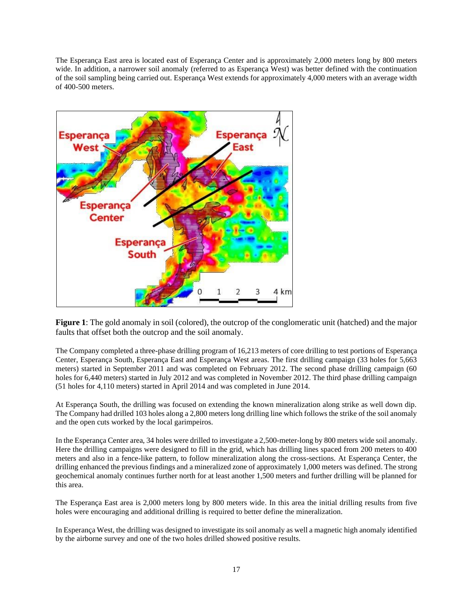The Esperança East area is located east of Esperança Center and is approximately 2,000 meters long by 800 meters wide. In addition, a narrower soil anomaly (referred to as Esperança West) was better defined with the continuation of the soil sampling being carried out. Esperança West extends for approximately 4,000 meters with an average width of 400-500 meters.



**Figure 1**: The gold anomaly in soil (colored), the outcrop of the conglomeratic unit (hatched) and the major faults that offset both the outcrop and the soil anomaly.

The Company completed a three-phase drilling program of 16,213 meters of core drilling to test portions of Esperança Center, Esperança South, Esperança East and Esperança West areas. The first drilling campaign (33 holes for 5,663 meters) started in September 2011 and was completed on February 2012. The second phase drilling campaign (60 holes for 6,440 meters) started in July 2012 and was completed in November 2012. The third phase drilling campaign (51 holes for 4,110 meters) started in April 2014 and was completed in June 2014.

At Esperança South, the drilling was focused on extending the known mineralization along strike as well down dip. The Company had drilled 103 holes along a 2,800 meters long drilling line which follows the strike of the soil anomaly and the open cuts worked by the local garimpeiros.

In the Esperança Center area, 34 holes were drilled to investigate a 2,500-meter-long by 800 meters wide soil anomaly. Here the drilling campaigns were designed to fill in the grid, which has drilling lines spaced from 200 meters to 400 meters and also in a fence-like pattern, to follow mineralization along the cross-sections. At Esperança Center, the drilling enhanced the previous findings and a mineralized zone of approximately 1,000 meters was defined. The strong geochemical anomaly continues further north for at least another 1,500 meters and further drilling will be planned for this area.

The Esperança East area is 2,000 meters long by 800 meters wide. In this area the initial drilling results from five holes were encouraging and additional drilling is required to better define the mineralization.

In Esperança West, the drilling was designed to investigate its soil anomaly as well a magnetic high anomaly identified by the airborne survey and one of the two holes drilled showed positive results.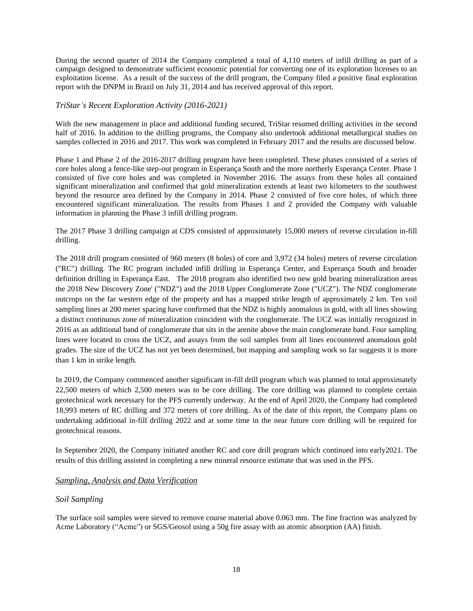During the second quarter of 2014 the Company completed a total of 4,110 meters of infill drilling as part of a campaign designed to demonstrate sufficient economic potential for converting one of its exploration licenses to an exploitation license. As a result of the success of the drill program, the Company filed a positive final exploration report with the DNPM in Brazil on July 31, 2014 and has received approval of this report.

## *TriStar's Recent Exploration Activity (2016-2021)*

With the new management in place and additional funding secured, TriStar resumed drilling activities in the second half of 2016. In addition to the drilling programs, the Company also undertook additional metallurgical studies on samples collected in 2016 and 2017. This work was completed in February 2017 and the results are discussed below.

Phase 1 and Phase 2 of the 2016-2017 drilling program have been completed. These phases consisted of a series of core holes along a fence-like step-out program in Esperança South and the more northerly Esperança Center. Phase 1 consisted of five core holes and was completed in November 2016. The assays from these holes all contained significant mineralization and confirmed that gold mineralization extends at least two kilometers to the southwest beyond the resource area defined by the Company in 2014. Phase 2 consisted of five core holes, of which three encountered significant mineralization. The results from Phases 1 and 2 provided the Company with valuable information in planning the Phase 3 infill drilling program.

The 2017 Phase 3 drilling campaign at CDS consisted of approximately 15,000 meters of reverse circulation in-fill drilling.

The 2018 drill program consisted of 960 meters (8 holes) of core and 3,972 (34 holes) meters of reverse circulation ("RC") drilling. The RC program included infill drilling in Esperança Center, and Esperança South and broader definition drilling in Esperança East. The 2018 program also identified two new gold bearing mineralization areas the 2018 New Discovery Zone' ("NDZ") and the 2018 Upper Conglomerate Zone ("UCZ"). The NDZ conglomerate outcrops on the far western edge of the property and has a mapped strike length of approximately 2 km. Ten soil sampling lines at 200 meter spacing have confirmed that the NDZ is highly anomalous in gold, with all lines showing a distinct continuous zone of mineralization coincident with the conglomerate. The UCZ was initially recognized in 2016 as an additional band of conglomerate that sits in the arenite above the main conglomerate band. Four sampling lines were located to cross the UCZ, and assays from the soil samples from all lines encountered anomalous gold grades. The size of the UCZ has not yet been determined, but mapping and sampling work so far suggests it is more than 1 km in strike length.

In 2019, the Company commenced another significant in-fill drill program which was planned to total approximately 22,500 meters of which 2,500 meters was to be core drilling. The core drilling was planned to complete certain geotechnical work necessary for the PFS currently underway. At the end of April 2020, the Company had completed 18,993 meters of RC drilling and 372 meters of core drilling. As of the date of this report, the Company plans on undertaking additional in-fill drilling 2022 and at some time in the near future core drilling will be required for geotechnical reasons.

In September 2020, the Company initiated another RC and core drill program which continued into early2021. The results of this drilling assisted in completing a new mineral resource estimate that was used in the PFS.

# *Sampling, Analysis and Data Verification*

#### *Soil Sampling*

The surface soil samples were sieved to remove course material above 0.063 mm. The fine fraction was analyzed by Acme Laboratory ("Acme") or SGS/Geosol using a 50g fire assay with an atomic absorption (AA) finish.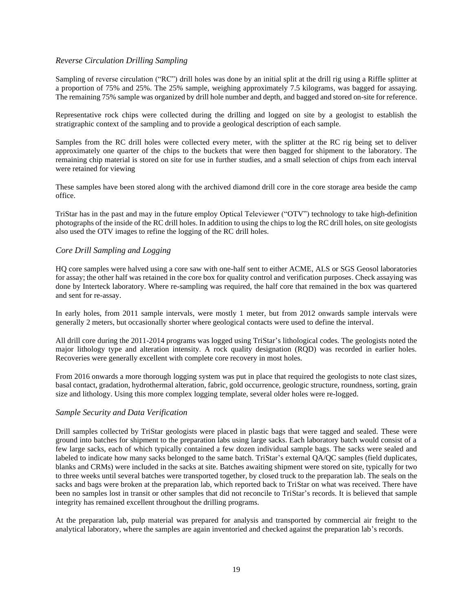# *Reverse Circulation Drilling Sampling*

Sampling of reverse circulation ("RC") drill holes was done by an initial split at the drill rig using a Riffle splitter at a proportion of 75% and 25%. The 25% sample, weighing approximately 7.5 kilograms, was bagged for assaying. The remaining 75% sample was organized by drill hole number and depth, and bagged and stored on-site for reference.

Representative rock chips were collected during the drilling and logged on site by a geologist to establish the stratigraphic context of the sampling and to provide a geological description of each sample.

Samples from the RC drill holes were collected every meter, with the splitter at the RC rig being set to deliver approximately one quarter of the chips to the buckets that were then bagged for shipment to the laboratory. The remaining chip material is stored on site for use in further studies, and a small selection of chips from each interval were retained for viewing

These samples have been stored along with the archived diamond drill core in the core storage area beside the camp office.

TriStar has in the past and may in the future employ Optical Televiewer ("OTV") technology to take high-definition photographs of the inside of the RC drill holes. In addition to using the chips to log the RC drill holes, on site geologists also used the OTV images to refine the logging of the RC drill holes.

# *Core Drill Sampling and Logging*

HQ core samples were halved using a core saw with one-half sent to either ACME, ALS or SGS Geosol laboratories for assay; the other half was retained in the core box for quality control and verification purposes. Check assaying was done by Interteck laboratory. Where re-sampling was required, the half core that remained in the box was quartered and sent for re-assay.

In early holes, from 2011 sample intervals, were mostly 1 meter, but from 2012 onwards sample intervals were generally 2 meters, but occasionally shorter where geological contacts were used to define the interval.

All drill core during the 2011-2014 programs was logged using TriStar's lithological codes. The geologists noted the major lithology type and alteration intensity. A rock quality designation (RQD) was recorded in earlier holes. Recoveries were generally excellent with complete core recovery in most holes.

From 2016 onwards a more thorough logging system was put in place that required the geologists to note clast sizes, basal contact, gradation, hydrothermal alteration, fabric, gold occurrence, geologic structure, roundness, sorting, grain size and lithology. Using this more complex logging template, several older holes were re-logged.

# *Sample Security and Data Verification*

Drill samples collected by TriStar geologists were placed in plastic bags that were tagged and sealed. These were ground into batches for shipment to the preparation labs using large sacks. Each laboratory batch would consist of a few large sacks, each of which typically contained a few dozen individual sample bags. The sacks were sealed and labeled to indicate how many sacks belonged to the same batch. TriStar's external QA/QC samples (field duplicates, blanks and CRMs) were included in the sacks at site. Batches awaiting shipment were stored on site, typically for two to three weeks until several batches were transported together, by closed truck to the preparation lab. The seals on the sacks and bags were broken at the preparation lab, which reported back to TriStar on what was received. There have been no samples lost in transit or other samples that did not reconcile to TriStar's records. It is believed that sample integrity has remained excellent throughout the drilling programs.

At the preparation lab, pulp material was prepared for analysis and transported by commercial air freight to the analytical laboratory, where the samples are again inventoried and checked against the preparation lab's records.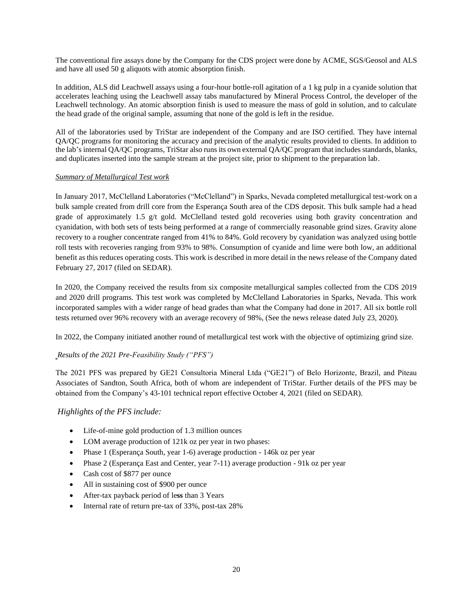The conventional fire assays done by the Company for the CDS project were done by ACME, SGS/Geosol and ALS and have all used 50 g aliquots with atomic absorption finish.

In addition, ALS did Leachwell assays using a four-hour bottle-roll agitation of a 1 kg pulp in a cyanide solution that accelerates leaching using the Leachwell assay tabs manufactured by Mineral Process Control, the developer of the Leachwell technology. An atomic absorption finish is used to measure the mass of gold in solution, and to calculate the head grade of the original sample, assuming that none of the gold is left in the residue.

All of the laboratories used by TriStar are independent of the Company and are ISO certified. They have internal QA/QC programs for monitoring the accuracy and precision of the analytic results provided to clients. In addition to the lab's internal QA/QC programs, TriStar also runs its own external QA/QC program that includes standards, blanks, and duplicates inserted into the sample stream at the project site, prior to shipment to the preparation lab.

## *Summary of Metallurgical Test work*

In January 2017, McClelland Laboratories ("McClelland") in Sparks, Nevada completed metallurgical test-work on a bulk sample created from drill core from the Esperança South area of the CDS deposit. This bulk sample had a head grade of approximately 1.5 g/t gold. McClelland tested gold recoveries using both gravity concentration and cyanidation, with both sets of tests being performed at a range of commercially reasonable grind sizes. Gravity alone recovery to a rougher concentrate ranged from 41% to 84%. Gold recovery by cyanidation was analyzed using bottle roll tests with recoveries ranging from 93% to 98%. Consumption of cyanide and lime were both low, an additional benefit as this reduces operating costs. This work is described in more detail in the news release of the Company dated February 27, 2017 (filed on SEDAR).

In 2020, the Company received the results from six composite metallurgical samples collected from the CDS 2019 and 2020 drill programs. This test work was completed by McClelland Laboratories in Sparks, Nevada. This work incorporated samples with a wider range of head grades than what the Company had done in 2017. All six bottle roll tests returned over 96% recovery with an average recovery of 98%, (See the news release dated July 23, 2020).

In 2022, the Company initiated another round of metallurgical test work with the objective of optimizing grind size.

# *Results of the 2021 Pre-Feasibility Study ("PFS")*

The 2021 PFS was prepared by GE21 Consultoria Mineral Ltda ("GE21") of Belo Horizonte, Brazil, and Piteau Associates of Sandton, South Africa, both of whom are independent of TriStar. Further details of the PFS may be obtained from the Company's 43-101 technical report effective October 4, 2021 (filed on SEDAR).

# *Highlights of the PFS include:*

- Life-of-mine gold production of 1.3 million ounces
- LOM average production of 121k oz per year in two phases:
- Phase 1 (Esperança South, year 1-6) average production 146k oz per year
- Phase 2 (Esperança East and Center, year 7-11) average production 91k oz per year
- Cash cost of \$877 per ounce
- All in sustaining cost of \$900 per ounce
- After-tax payback period of le**ss** than 3 Years
- Internal rate of return pre-tax of 33%, post-tax 28%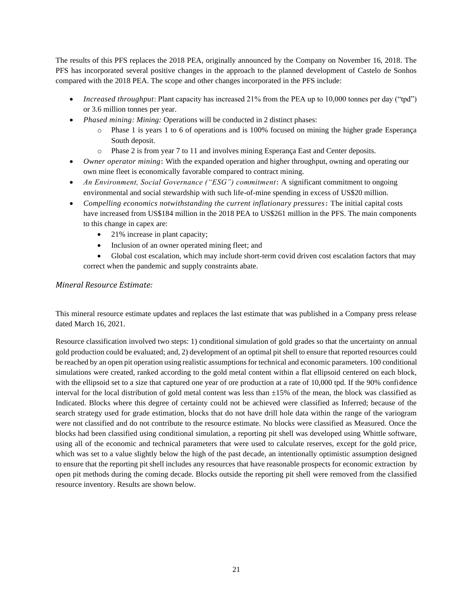The results of this PFS replaces the 2018 PEA, originally announced by the Company on November 16, 2018. The PFS has incorporated several positive changes in the approach to the planned development of Castelo de Sonhos compared with the 2018 PEA. The scope and other changes incorporated in the PFS include:

- *Increased throughput*: Plant capacity has increased 21% from the PEA up to 10,000 tonnes per day ("tpd") or 3.6 million tonnes per year.
- *Phased mining: Mining:* Operations will be conducted in 2 distinct phases:
	- o Phase 1 is years 1 to 6 of operations and is 100% focused on mining the higher grade Esperança South deposit.
	- o Phase 2 is from year 7 to 11 and involves mining Esperança East and Center deposits.
- *Owner operator mining***:** With the expanded operation and higher throughput, owning and operating our own mine fleet is economically favorable compared to contract mining.
- *An Environment, Social Governance ("ESG") commitment***: A** significant commitment to ongoing environmental and social stewardship with such life-of-mine spending in excess of US\$20 million.
- *Compelling economics notwithstanding the current inflationary pressures***: T**he initial capital costs have increased from US\$184 million in the 2018 PEA to US\$261 million in the PFS. The main components to this change in capex are:
	- 21% increase in plant capacity;
	- Inclusion of an owner operated mining fleet; and
	- Global cost escalation, which may include short-term covid driven cost escalation factors that may correct when the pandemic and supply constraints abate.

# *Mineral Resource Estimate:*

This mineral resource estimate updates and replaces the last estimate that was published in a Company press release dated March 16, 2021.

Resource classification involved two steps: 1) conditional simulation of gold grades so that the uncertainty on annual gold production could be evaluated; and, 2) development of an optimal pit shell to ensure that reported resources could be reached by an open pit operation using realistic assumptions for technical and economic parameters. 100 conditional simulations were created, ranked according to the gold metal content within a flat ellipsoid centered on each block, with the ellipsoid set to a size that captured one year of ore production at a rate of 10,000 tpd. If the 90% confidence interval for the local distribution of gold metal content was less than ±15% of the mean, the block was classified as Indicated. Blocks where this degree of certainty could not be achieved were classified as Inferred; because of the search strategy used for grade estimation, blocks that do not have drill hole data within the range of the variogram were not classified and do not contribute to the resource estimate. No blocks were classified as Measured. Once the blocks had been classified using conditional simulation, a reporting pit shell was developed using Whittle software, using all of the economic and technical parameters that were used to calculate reserves, except for the gold price, which was set to a value slightly below the high of the past decade, an intentionally optimistic assumption designed to ensure that the reporting pit shell includes any resources that have reasonable prospects for economic extraction by open pit methods during the coming decade. Blocks outside the reporting pit shell were removed from the classified resource inventory. Results are shown below.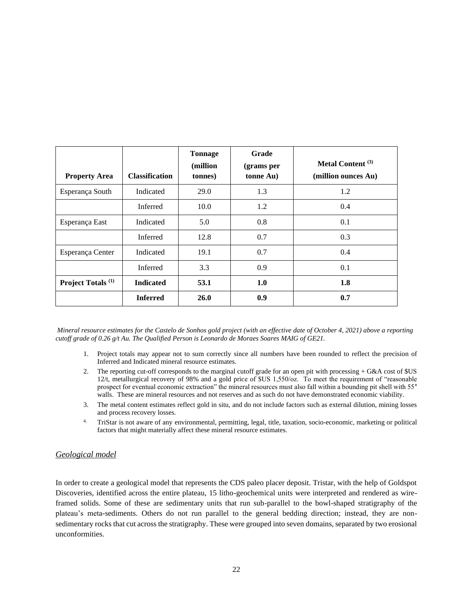| <b>Property Area</b>          | <b>Classification</b> | <b>Tonnage</b><br>(million<br>tonnes) | Grade<br>(grams per<br>tonne Au) | Metal Content <sup>(3)</sup><br>(million ounces Au) |
|-------------------------------|-----------------------|---------------------------------------|----------------------------------|-----------------------------------------------------|
| Esperança South               | Indicated             | 29.0                                  | 1.3                              | 1.2                                                 |
|                               | Inferred              | 10.0                                  | 1.2                              | 0.4                                                 |
| Esperança East                | Indicated             | 5.0                                   | 0.8                              | 0.1                                                 |
|                               | Inferred              | 12.8                                  | 0.7                              | 0.3                                                 |
| Esperança Center              | Indicated             | 19.1                                  | 0.7                              | 0.4                                                 |
|                               | Inferred              | 3.3                                   | 0.9                              | 0.1                                                 |
| Project Totals <sup>(1)</sup> | <b>Indicated</b>      | 53.1                                  | 1.0                              | 1.8                                                 |
|                               | <b>Inferred</b>       | <b>26.0</b>                           | 0.9                              | 0.7                                                 |

*Mineral resource estimates for the Castelo de Sonhos gold project (with an effective date of October 4, 2021) above a reporting cutoff grade of 0.26 g/t Au. The Qualified Person is Leonardo de Moraes Soares MAIG of GE21.*

- 1. Project totals may appear not to sum correctly since all numbers have been rounded to reflect the precision of Inferred and Indicated mineral resource estimates.
- 2. The reporting cut-off corresponds to the marginal cutoff grade for an open pit with processing + G&A cost of \$US 12/t, metallurgical recovery of 98% and a gold price of \$US 1,550/oz. To meet the requirement of "reasonable prospect for eventual economic extraction" the mineral resources must also fall within a bounding pit shell with 55° walls. These are mineral resources and not reserves and as such do not have demonstrated economic viability.
- 3. The metal content estimates reflect gold in situ, and do not include factors such as external dilution, mining losses and process recovery losses.
- 4. TriStar is not aware of any environmental, permitting, legal, title, taxation, socio-economic, marketing or political factors that might materially affect these mineral resource estimates.

# *Geological model*

In order to create a geological model that represents the CDS paleo placer deposit. Tristar, with the help of Goldspot Discoveries, identified across the entire plateau, 15 litho-geochemical units were interpreted and rendered as wireframed solids. Some of these are sedimentary units that run sub-parallel to the bowl-shaped stratigraphy of the plateau's meta-sediments. Others do not run parallel to the general bedding direction; instead, they are nonsedimentary rocks that cut across the stratigraphy. These were grouped into seven domains, separated by two erosional unconformities.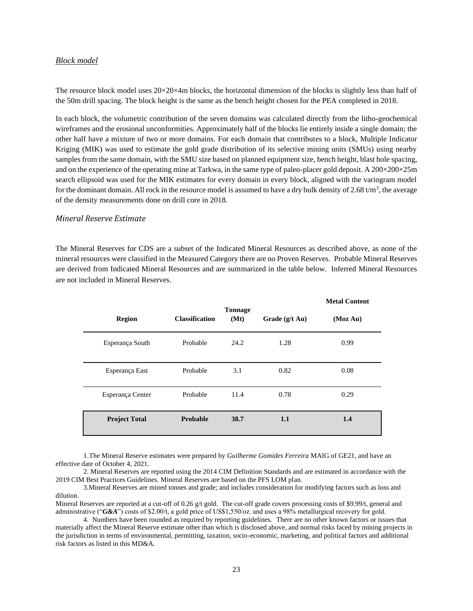# *Block model*

The resource block model uses  $20\times20\times4$ m blocks, the horizontal dimension of the blocks is slightly less than half of the 50m drill spacing. The block height is the same as the bench height chosen for the PEA completed in 2018.

In each block, the volumetric contribution of the seven domains was calculated directly from the litho-geochemical wireframes and the erosional unconformities. Approximately half of the blocks lie entirely inside a single domain; the other half have a mixture of two or more domains. For each domain that contributes to a block, Multiple Indicator Kriging (MIK) was used to estimate the gold grade distribution of its selective mining units (SMUs) using nearby samples from the same domain, with the SMU size based on planned equipment size, bench height, blast hole spacing, and on the experience of the operating mine at Tarkwa, in the same type of paleo-placer gold deposit. A 200×200×25m search ellipsoid was used for the MIK estimates for every domain in every block, aligned with the variogram model for the dominant domain. All rock in the resource model is assumed to have a dry bulk density of 2.68  $t/m<sup>3</sup>$ , the average of the density measurements done on drill core in 2018.

#### *Mineral Reserve Estimate*

The Mineral Reserves for CDS are a subset of the Indicated Mineral Resources as described above, as none of the mineral resources were classified in the Measured Category there are no Proven Reserves. Probable Mineral Reserves are derived from Indicated Mineral Resources and are summarized in the table below. Inferred Mineral Resources are not included in Mineral Reserves.

| <b>Region</b>        | <b>Classification</b> | <b>Tonnage</b><br>(Mt) | Grade $(g/t \text{ Au})$ | <b>Metal Content</b><br>(Moz Au) |
|----------------------|-----------------------|------------------------|--------------------------|----------------------------------|
| Esperança South      | Probable              | 24.2                   | 1.28                     | 0.99                             |
| Esperança East       | Probable              | 3.1                    | 0.82                     | 0.08                             |
| Esperança Center     | Probable              | 11.4                   | 0.78                     | 0.29                             |
| <b>Project Total</b> | Probable              | 38.7                   | 1.1                      | 1.4                              |

1.The Mineral Reserve estimates were prepared by *Guilherme Gomides Ferreira* MAIG of GE21, and have an effective date of October 4, 2021.

2. Mineral Reserves are reported using the 2014 CIM Definition Standards and are estimated in accordance with the 2019 CIM Best Practices Guidelines. Mineral Reserves are based on the PFS LOM plan.

3.Mineral Reserves are mined tonnes and grade; and includes consideration for modifying factors such as loss and dilution.

Mineral Reserves are reported at a cut-off of 0.26 g/t gold. The cut-off grade covers processing costs of \$9.99/t, general and administrative ("*G&A*") costs of \$2.00/t, a gold price of US\$1,550/oz. and uses a 98% metallurgical recovery for gold.

4. Numbers have been rounded as required by reporting guidelines*.* There are no other known factors or issues that materially affect the Mineral Reserve estimate other than which is disclosed above, and normal risks faced by mining projects in the jurisdiction in terms of environmental, permitting, taxation, socio-economic, marketing, and political factors and additional risk factors as listed in this MD&A.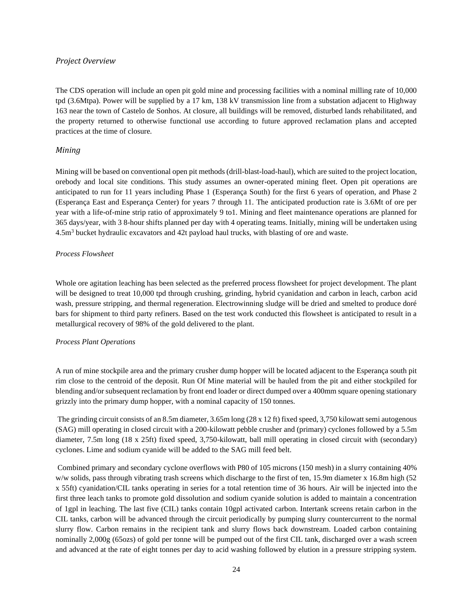## *Project Overview*

The CDS operation will include an open pit gold mine and processing facilities with a nominal milling rate of 10,000 tpd (3.6Mtpa). Power will be supplied by a 17 km, 138 kV transmission line from a substation adjacent to Highway 163 near the town of Castelo de Sonhos. At closure, all buildings will be removed, disturbed lands rehabilitated, and the property returned to otherwise functional use according to future approved reclamation plans and accepted practices at the time of closure.

# *Mining*

Mining will be based on conventional open pit methods (drill-blast-load-haul), which are suited to the project location, orebody and local site conditions. This study assumes an owner-operated mining fleet. Open pit operations are anticipated to run for 11 years including Phase 1 (Esperança South) for the first 6 years of operation, and Phase 2 (Esperança East and Esperança Center) for years 7 through 11. The anticipated production rate is 3.6Mt of ore per year with a life-of-mine strip ratio of approximately 9 to1. Mining and fleet maintenance operations are planned for 365 days/year, with 3 8-hour shifts planned per day with 4 operating teams. Initially, mining will be undertaken using 4.5m<sup>3</sup> bucket hydraulic excavators and 42t payload haul trucks, with blasting of ore and waste.

## *Process Flowsheet*

Whole ore agitation leaching has been selected as the preferred process flowsheet for project development. The plant will be designed to treat 10,000 tpd through crushing, grinding, hybrid cyanidation and carbon in leach, carbon acid wash, pressure stripping, and thermal regeneration. Electrowinning sludge will be dried and smelted to produce doré bars for shipment to third party refiners. Based on the test work conducted this flowsheet is anticipated to result in a metallurgical recovery of 98% of the gold delivered to the plant.

# *Process Plant Operations*

A run of mine stockpile area and the primary crusher dump hopper will be located adjacent to the Esperança south pit rim close to the centroid of the deposit. Run Of Mine material will be hauled from the pit and either stockpiled for blending and/or subsequent reclamation by front end loader or direct dumped over a 400mm square opening stationary grizzly into the primary dump hopper, with a nominal capacity of 150 tonnes.

The grinding circuit consists of an 8.5m diameter, 3.65m long (28 x 12 ft) fixed speed, 3,750 kilowatt semi autogenous (SAG) mill operating in closed circuit with a 200-kilowatt pebble crusher and (primary) cyclones followed by a 5.5m diameter, 7.5m long (18 x 25ft) fixed speed, 3,750-kilowatt, ball mill operating in closed circuit with (secondary) cyclones. Lime and sodium cyanide will be added to the SAG mill feed belt.

Combined primary and secondary cyclone overflows with P80 of 105 microns (150 mesh) in a slurry containing 40% w/w solids, pass through vibrating trash screens which discharge to the first of ten, 15.9m diameter x 16.8m high (52 x 55ft) cyanidation/CIL tanks operating in series for a total retention time of 36 hours. Air will be injected into the first three leach tanks to promote gold dissolution and sodium cyanide solution is added to maintain a concentration of 1gpl in leaching. The last five (CIL) tanks contain 10gpl activated carbon. Intertank screens retain carbon in the CIL tanks, carbon will be advanced through the circuit periodically by pumping slurry countercurrent to the normal slurry flow. Carbon remains in the recipient tank and slurry flows back downstream. Loaded carbon containing nominally 2,000g (65ozs) of gold per tonne will be pumped out of the first CIL tank, discharged over a wash screen and advanced at the rate of eight tonnes per day to acid washing followed by elution in a pressure stripping system.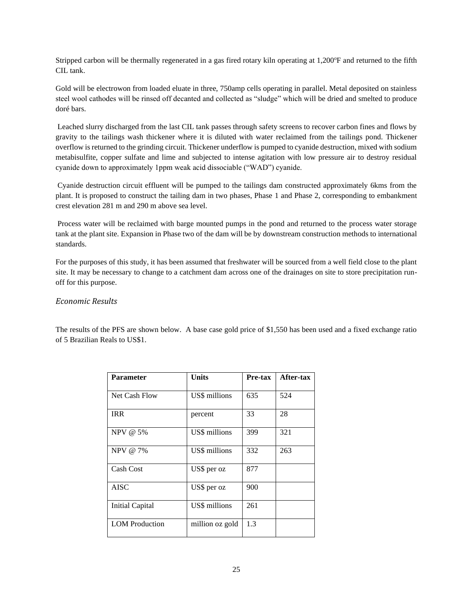Stripped carbon will be thermally regenerated in a gas fired rotary kiln operating at  $1,200^\circ$ F and returned to the fifth CIL tank.

Gold will be electrowon from loaded eluate in three, 750amp cells operating in parallel. Metal deposited on stainless steel wool cathodes will be rinsed off decanted and collected as "sludge" which will be dried and smelted to produce doré bars.

Leached slurry discharged from the last CIL tank passes through safety screens to recover carbon fines and flows by gravity to the tailings wash thickener where it is diluted with water reclaimed from the tailings pond. Thickener overflow is returned to the grinding circuit. Thickener underflow is pumped to cyanide destruction, mixed with sodium metabisulfite, copper sulfate and lime and subjected to intense agitation with low pressure air to destroy residual cyanide down to approximately 1ppm weak acid dissociable ("WAD") cyanide.

Cyanide destruction circuit effluent will be pumped to the tailings dam constructed approximately 6kms from the plant. It is proposed to construct the tailing dam in two phases, Phase 1 and Phase 2, corresponding to embankment crest elevation 281 m and 290 m above sea level.

Process water will be reclaimed with barge mounted pumps in the pond and returned to the process water storage tank at the plant site. Expansion in Phase two of the dam will be by downstream construction methods to international standards.

For the purposes of this study, it has been assumed that freshwater will be sourced from a well field close to the plant site. It may be necessary to change to a catchment dam across one of the drainages on site to store precipitation runoff for this purpose.

# *Economic Results*

The results of the PFS are shown below. A base case gold price of \$1,550 has been used and a fixed exchange ratio of 5 Brazilian Reals to US\$1.

| <b>Parameter</b>      | <b>Units</b>    | Pre-tax | After-tax |
|-----------------------|-----------------|---------|-----------|
| Net Cash Flow         | US\$ millions   | 635     | 524       |
| <b>IRR</b>            | percent         | 33      | 28        |
| NPV @ 5%              | US\$ millions   | 399     | 321       |
| NPV @ 7%              | US\$ millions   | 332     | 263       |
| Cash Cost             | US\$ per oz     | 877     |           |
| <b>AISC</b>           | US\$ per oz     | 900     |           |
| Initial Capital       | US\$ millions   | 261     |           |
| <b>LOM</b> Production | million oz gold | 1.3     |           |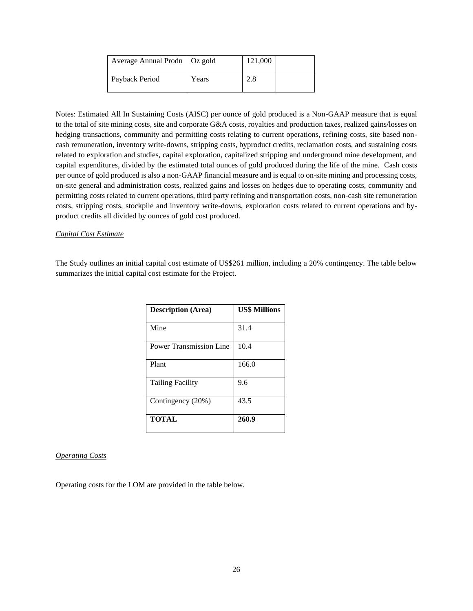| Average Annual Prodn   Oz gold |       | 121,000 |  |
|--------------------------------|-------|---------|--|
| Payback Period                 | Years | 2.8     |  |

Notes: Estimated All In Sustaining Costs (AISC) per ounce of gold produced is a Non-GAAP measure that is equal to the total of site mining costs, site and corporate G&A costs, royalties and production taxes, realized gains/losses on hedging transactions, community and permitting costs relating to current operations, refining costs, site based noncash remuneration, inventory write-downs, stripping costs, byproduct credits, reclamation costs, and sustaining costs related to exploration and studies, capital exploration, capitalized stripping and underground mine development, and capital expenditures, divided by the estimated total ounces of gold produced during the life of the mine. Cash costs per ounce of gold produced is also a non-GAAP financial measure and is equal to on-site mining and processing costs, on-site general and administration costs, realized gains and losses on hedges due to operating costs, community and permitting costs related to current operations, third party refining and transportation costs, non-cash site remuneration costs, stripping costs, stockpile and inventory write-downs, exploration costs related to current operations and byproduct credits all divided by ounces of gold cost produced.

#### *Capital Cost Estimate*

The Study outlines an initial capital cost estimate of US\$261 million, including a 20% contingency. The table below summarizes the initial capital cost estimate for the Project.

| <b>Description (Area)</b>      | <b>US\$ Millions</b> |
|--------------------------------|----------------------|
| Mine                           | 31.4                 |
| <b>Power Transmission Line</b> | 10.4                 |
| Plant                          | 166.0                |
| <b>Tailing Facility</b>        | 9.6                  |
| Contingency (20%)              | 43.5                 |
| <b>TOTAL</b>                   | 260.9                |

#### *Operating Costs*

Operating costs for the LOM are provided in the table below.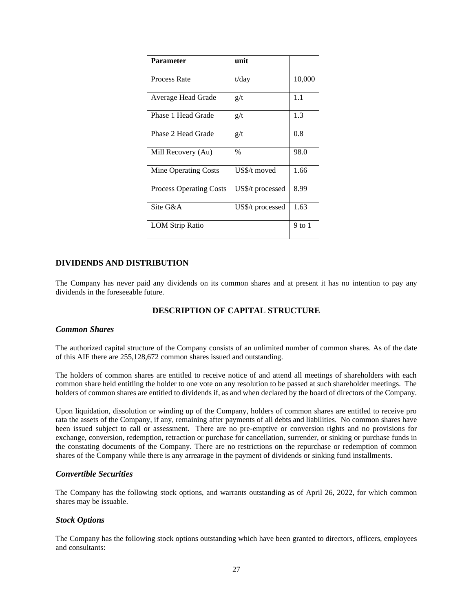| <b>Parameter</b>               | unit             |        |
|--------------------------------|------------------|--------|
| Process Rate                   | $t$ /day         | 10,000 |
| Average Head Grade             | g/t              | 1.1    |
| Phase 1 Head Grade             | g/t              | 1.3    |
| Phase 2 Head Grade             | g/t              | 0.8    |
| Mill Recovery (Au)             | $\frac{0}{0}$    | 98.0   |
| Mine Operating Costs           | US\$/t moved     | 1.66   |
| <b>Process Operating Costs</b> | US\$/t processed | 8.99   |
| Site G&A                       | US\$/t processed | 1.63   |
| <b>LOM Strip Ratio</b>         |                  | 9 to 1 |

# <span id="page-26-0"></span>**DIVIDENDS AND DISTRIBUTION**

<span id="page-26-1"></span>The Company has never paid any dividends on its common shares and at present it has no intention to pay any dividends in the foreseeable future.

# **DESCRIPTION OF CAPITAL STRUCTURE**

#### *Common Shares*

The authorized capital structure of the Company consists of an unlimited number of common shares. As of the date of this AIF there are 255,128,672 common shares issued and outstanding.

The holders of common shares are entitled to receive notice of and attend all meetings of shareholders with each common share held entitling the holder to one vote on any resolution to be passed at such shareholder meetings. The holders of common shares are entitled to dividends if, as and when declared by the board of directors of the Company.

Upon liquidation, dissolution or winding up of the Company, holders of common shares are entitled to receive pro rata the assets of the Company, if any, remaining after payments of all debts and liabilities. No common shares have been issued subject to call or assessment. There are no pre-emptive or conversion rights and no provisions for exchange, conversion, redemption, retraction or purchase for cancellation, surrender, or sinking or purchase funds in the constating documents of the Company. There are no restrictions on the repurchase or redemption of common shares of the Company while there is any arrearage in the payment of dividends or sinking fund installments.

#### *Convertible Securities*

The Company has the following stock options, and warrants outstanding as of April 26, 2022, for which common shares may be issuable.

# *Stock Options*

The Company has the following stock options outstanding which have been granted to directors, officers, employees and consultants: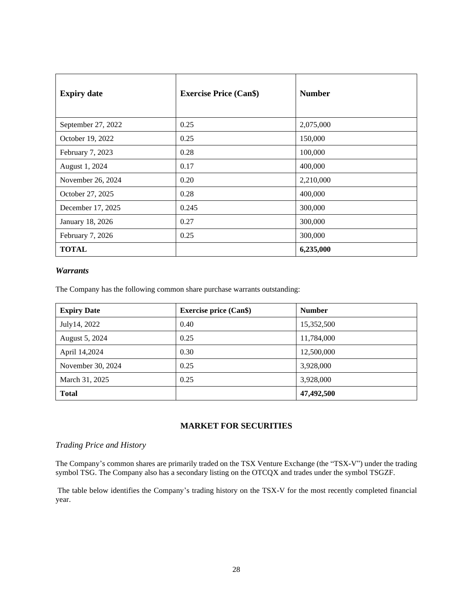| <b>Expiry date</b> | <b>Exercise Price (Can\$)</b> | <b>Number</b> |
|--------------------|-------------------------------|---------------|
| September 27, 2022 | 0.25                          | 2,075,000     |
| October 19, 2022   | 0.25                          | 150,000       |
| February 7, 2023   | 0.28                          | 100,000       |
| August 1, 2024     | 0.17                          | 400,000       |
| November 26, 2024  | 0.20                          | 2,210,000     |
| October 27, 2025   | 0.28                          | 400,000       |
| December 17, 2025  | 0.245                         | 300,000       |
| January 18, 2026   | 0.27                          | 300,000       |
| February 7, 2026   | 0.25                          | 300,000       |
| <b>TOTAL</b>       |                               | 6,235,000     |

# *Warrants*

The Company has the following common share purchase warrants outstanding:

| <b>Expiry Date</b> | <b>Exercise price (Can\$)</b> | <b>Number</b> |
|--------------------|-------------------------------|---------------|
| July 14, 2022      | 0.40                          | 15,352,500    |
| August 5, 2024     | 0.25                          | 11,784,000    |
| April 14,2024      | 0.30                          | 12,500,000    |
| November 30, 2024  | 0.25                          | 3,928,000     |
| March 31, 2025     | 0.25                          | 3,928,000     |
| <b>Total</b>       |                               | 47,492,500    |

# **MARKET FOR SECURITIES**

# <span id="page-27-0"></span>*Trading Price and History*

The Company's common shares are primarily traded on the TSX Venture Exchange (the "TSX-V") under the trading symbol TSG. The Company also has a secondary listing on the OTCQX and trades under the symbol TSGZF.

The table below identifies the Company's trading history on the TSX-V for the most recently completed financial year.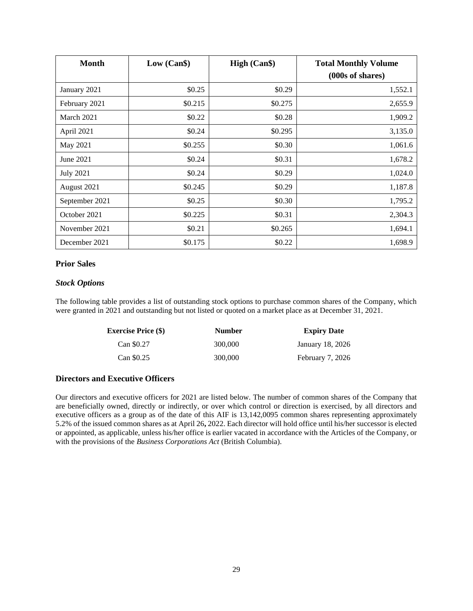| <b>Month</b>     | Low (Can\$) | High (Can\$) | <b>Total Monthly Volume</b><br>(000s of shares) |
|------------------|-------------|--------------|-------------------------------------------------|
| January 2021     | \$0.25      | \$0.29       | 1,552.1                                         |
| February 2021    | \$0.215     | \$0.275      | 2,655.9                                         |
| March 2021       | \$0.22      | \$0.28       | 1,909.2                                         |
| April 2021       | \$0.24      | \$0.295      | 3,135.0                                         |
| May 2021         | \$0.255     | \$0.30       | 1,061.6                                         |
| June 2021        | \$0.24      | \$0.31       | 1,678.2                                         |
| <b>July 2021</b> | \$0.24      | \$0.29       | 1,024.0                                         |
| August 2021      | \$0.245     | \$0.29       | 1,187.8                                         |
| September 2021   | \$0.25      | \$0.30       | 1,795.2                                         |
| October 2021     | \$0.225     | \$0.31       | 2,304.3                                         |
| November 2021    | \$0.21      | \$0.265      | 1,694.1                                         |
| December 2021    | \$0.175     | \$0.22       | 1,698.9                                         |

# **Prior Sales**

## *Stock Options*

The following table provides a list of outstanding stock options to purchase common shares of the Company, which were granted in 2021 and outstanding but not listed or quoted on a market place as at December 31, 2021.

| <b>Exercise Price (\$)</b> | <b>Number</b> | <b>Expiry Date</b> |
|----------------------------|---------------|--------------------|
| Can \$0.27                 | 300,000       | January 18, 2026   |
| Can \$0.25                 | 300,000       | February 7, 2026   |

# **Directors and Executive Officers**

Our directors and executive officers for 2021 are listed below. The number of common shares of the Company that are beneficially owned, directly or indirectly, or over which control or direction is exercised, by all directors and executive officers as a group as of the date of this AIF is 13,142,0095 common shares representing approximately 5.2% of the issued common shares as at April 26**,** 2022. Each director will hold office until his/her successor is elected or appointed, as applicable, unless his/her office is earlier vacated in accordance with the Articles of the Company, or with the provisions of the *Business Corporations Act* (British Columbia).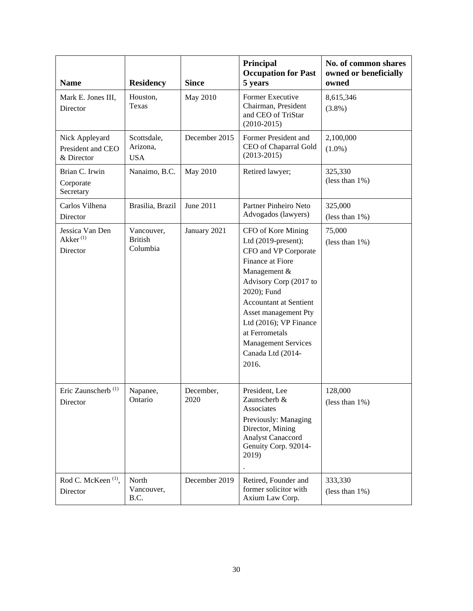| <b>Name</b>                                         | <b>Residency</b>                         | <b>Since</b>      | Principal<br><b>Occupation for Past</b><br>5 years                                                                                                                                                                                                                                                              | No. of common shares<br>owned or beneficially<br>owned |
|-----------------------------------------------------|------------------------------------------|-------------------|-----------------------------------------------------------------------------------------------------------------------------------------------------------------------------------------------------------------------------------------------------------------------------------------------------------------|--------------------------------------------------------|
| Mark E. Jones III,<br>Director                      | Houston,<br>Texas                        | May 2010          | Former Executive<br>Chairman, President<br>and CEO of TriStar<br>$(2010-2015)$                                                                                                                                                                                                                                  | 8,615,346<br>$(3.8\%)$                                 |
| Nick Appleyard<br>President and CEO<br>& Director   | Scottsdale,<br>Arizona,<br><b>USA</b>    | December 2015     | Former President and<br>CEO of Chaparral Gold<br>$(2013 - 2015)$                                                                                                                                                                                                                                                | 2,100,000<br>$(1.0\%)$                                 |
| Brian C. Irwin<br>Corporate<br>Secretary            | Nanaimo, B.C.                            | May 2010          | Retired lawyer;                                                                                                                                                                                                                                                                                                 | 325,330<br>(less than $1\%$ )                          |
| Carlos Vilhena<br>Director                          | Brasilia, Brazil                         | June 2011         | Partner Pinheiro Neto<br>Advogados (lawyers)                                                                                                                                                                                                                                                                    | 325,000<br>(less than $1\%$ )                          |
| Jessica Van Den<br>Akker <sup>(1)</sup><br>Director | Vancouver,<br><b>British</b><br>Columbia | January 2021      | CFO of Kore Mining<br>Ltd (2019-present);<br>CFO and VP Corporate<br>Finance at Fiore<br>Management &<br>Advisory Corp (2017 to<br>2020); Fund<br><b>Accountant at Sentient</b><br>Asset management Pty<br>Ltd (2016); VP Finance<br>at Ferrometals<br><b>Management Services</b><br>Canada Ltd (2014-<br>2016. | 75,000<br>(less than $1\%$ )                           |
| Eric Zaunscherb <sup>(1)</sup><br>Director          | Napanee,<br>Ontario                      | December,<br>2020 | President, Lee<br>Zaunscherb &<br>Associates<br>Previously: Managing<br>Director, Mining<br><b>Analyst Canaccord</b><br>Genuity Corp. 92014-<br>2019)                                                                                                                                                           | 128,000<br>(less than $1\%$ )                          |
| Rod C. McKeen <sup>(1)</sup> ,<br>Director          | North<br>Vancouver,<br>B.C.              | December 2019     | Retired, Founder and<br>former solicitor with<br>Axium Law Corp.                                                                                                                                                                                                                                                | 333,330<br>(less than $1\%$ )                          |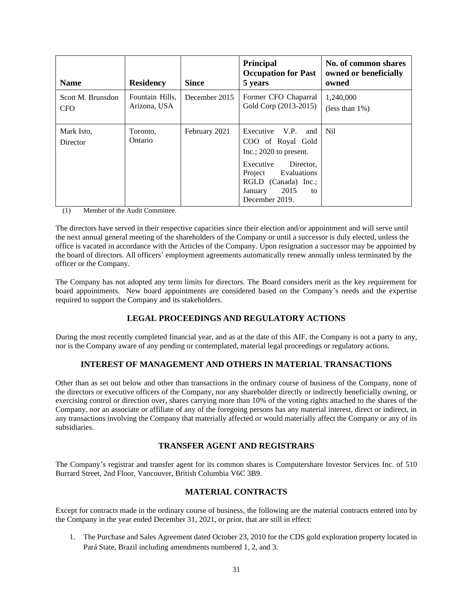| <b>Name</b>                     | <b>Residency</b>                | <b>Since</b>  | <b>Principal</b><br><b>Occupation for Past</b><br>5 years                                                                                                                                       | No. of common shares<br>owned or beneficially<br>owned |
|---------------------------------|---------------------------------|---------------|-------------------------------------------------------------------------------------------------------------------------------------------------------------------------------------------------|--------------------------------------------------------|
| Scott M. Brunsdon<br><b>CFO</b> | Fountain Hills,<br>Arizona, USA | December 2015 | Former CFO Chaparral<br>Gold Corp (2013-2015)                                                                                                                                                   | 1,240,000<br>(less than $1\%$ )                        |
| Mark Isto,<br>Director          | Toronto,<br>Ontario             | February 2021 | V.P.<br>Executive<br>and<br>COO of Royal Gold<br>Inc.; $2020$ to present.<br>Executive<br>Director.<br>Evaluations<br>Project<br>RGLD (Canada) Inc.:<br>2015<br>January<br>to<br>December 2019. | N <sub>il</sub>                                        |

(1) Member of the Audit Committee.

The directors have served in their respective capacities since their election and/or appointment and will serve until the next annual general meeting of the shareholders of the Company or until a successor is duly elected, unless the office is vacated in accordance with the Articles of the Company. Upon resignation a successor may be appointed by the board of directors. All officers' employment agreements automatically renew annually unless terminated by the officer or the Company.

<span id="page-30-0"></span>The Company has not adopted any term limits for directors. The Board considers merit as the key requirement for board appointments. New board appointments are considered based on the Company's needs and the expertise required to support the Company and its stakeholders.

# **LEGAL PROCEEDINGS AND REGULATORY ACTIONS**

<span id="page-30-1"></span>During the most recently completed financial year, and as at the date of this AIF, the Company is not a party to any, nor is the Company aware of any pending or contemplated, material legal proceedings or regulatory actions.

# **INTEREST OF MANAGEMENT AND OTHERS IN MATERIAL TRANSACTIONS**

Other than as set out below and other than transactions in the ordinary course of business of the Company, none of the directors or executive officers of the Company, nor any shareholder directly or indirectly beneficially owning, or exercising control or direction over, shares carrying more than 10% of the voting rights attached to the shares of the Company, nor an associate or affiliate of any of the foregoing persons has any material interest, direct or indirect, in any transactions involving the Company that materially affected or would materially affect the Company or any of its subsidiaries.

# **TRANSFER AGENT AND REGISTRARS**

<span id="page-30-3"></span><span id="page-30-2"></span>The Company's registrar and transfer agent for its common shares is Computershare Investor Services Inc. of 510 Burrard Street, 2nd Floor, Vancouver, British Columbia V6C 3B9.

# **MATERIAL CONTRACTS**

Except for contracts made in the ordinary course of business, the following are the material contracts entered into by the Company in the year ended December 31, 2021, or prior, that are still in effect:

1. The Purchase and Sales Agreement dated October 23, 2010 for the CDS gold exploration property located in Pará State, Brazil including amendments numbered 1, 2, and 3.